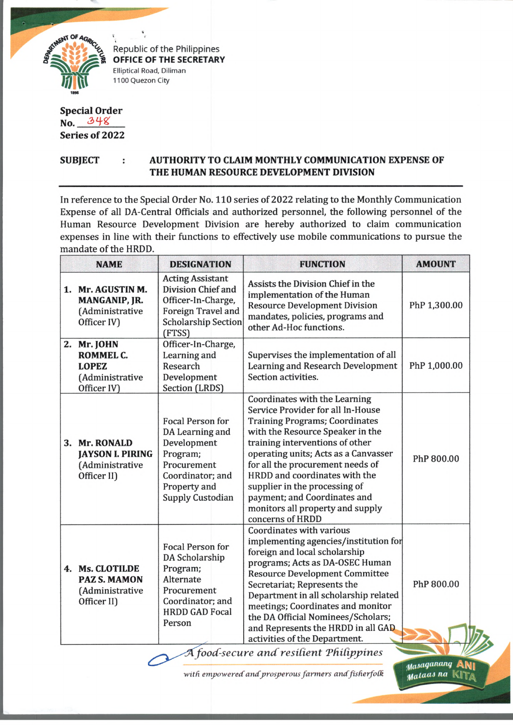

Republic of the Philippines **OFFICE OF THE SECRETARY** Elliptical Road, Diliman 1100 Quezon City

## **Special Order No. Series of 2022**

## **SUBJECT : AUTHORITY TO CLAIM MONTHLY COMMUNICATION EXPENSE OF THE HUMAN RESOURCE DEVELOPMENT DIVISION**

In reference to the Special Order No. 110 series of 2022 relating to the Monthly Communication Expense of all DA-Central Officials and authorized personnel, the following personnel of the Human Resource Development Division are hereby authorized to claim communication expenses in line with their functions to effectively use mobile communications to pursue the mandate of the HRDD.

| <b>NAME</b>                                                                | <b>DESIGNATION</b>                                                                                                                           | <b>FUNCTION</b>                                                                                                                                                                                                                                                                                                                                                                                                                                     | <b>AMOUNT</b> |
|----------------------------------------------------------------------------|----------------------------------------------------------------------------------------------------------------------------------------------|-----------------------------------------------------------------------------------------------------------------------------------------------------------------------------------------------------------------------------------------------------------------------------------------------------------------------------------------------------------------------------------------------------------------------------------------------------|---------------|
| 1. Mr. AGUSTIN M.<br>MANGANIP, JR.<br>(Administrative<br>Officer IV)       | <b>Acting Assistant</b><br>Division Chief and<br>Officer-In-Charge,<br>Foreign Travel and<br><b>Scholarship Section</b><br>(FTSS)            | Assists the Division Chief in the<br>implementation of the Human<br><b>Resource Development Division</b><br>mandates, policies, programs and<br>other Ad-Hoc functions.                                                                                                                                                                                                                                                                             | PhP 1,300.00  |
| 2. Mr. JOHN<br>ROMMEL C.<br><b>LOPEZ</b><br>(Administrative<br>Officer IV) | Officer-In-Charge,<br>Learning and<br>Research<br>Development<br>Section (LRDS)                                                              | Supervises the implementation of all<br>Learning and Research Development<br>Section activities.                                                                                                                                                                                                                                                                                                                                                    | PhP 1,000.00  |
| 3. Mr. RONALD<br><b>JAYSON I. PIRING</b><br>(Administrative<br>Officer II) | Focal Person for<br>DA Learning and<br>Development<br>Program;<br>Procurement<br>Coordinator; and<br>Property and<br><b>Supply Custodian</b> | Coordinates with the Learning<br>Service Provider for all In-House<br><b>Training Programs; Coordinates</b><br>with the Resource Speaker in the<br>training interventions of other<br>operating units; Acts as a Canvasser<br>for all the procurement needs of<br>HRDD and coordinates with the<br>supplier in the processing of<br>payment; and Coordinates and<br>monitors all property and supply<br>concerns of HRDD                            | PhP 800.00    |
| 4. Ms. CLOTILDE<br><b>PAZ S. MAMON</b><br>(Administrative<br>Officer II)   | Focal Person for<br>DA Scholarship<br>Program;<br>Alternate<br>Procurement<br>Coordinator; and<br><b>HRDD GAD Focal</b><br>Person            | Coordinates with various<br>implementing agencies/institution for<br>foreign and local scholarship<br>programs; Acts as DA-OSEC Human<br><b>Resource Development Committee</b><br>Secretariat; Represents the<br>Department in all scholarship related<br>meetings; Coordinates and monitor<br>the DA Official Nominees/Scholars;<br>and Represents the HRDD in all GAD<br>activities of the Department.<br>A food-secure and resilient Philippines | PhP 800.00    |

with empowered and prosperous farmers and fisherfolk

*0i.i(iganimg* Atyg *Mataas na* Ki